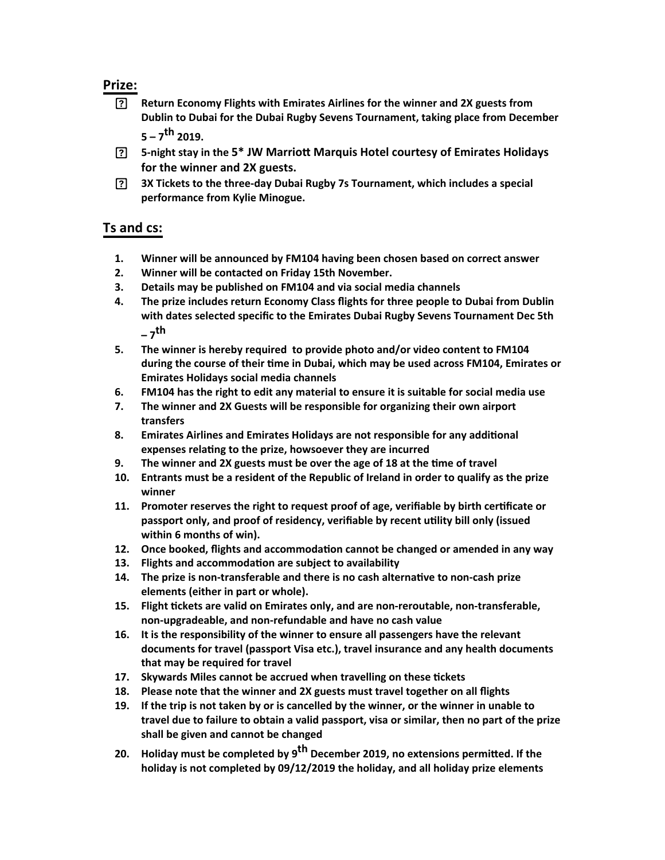## **Prize:**

- **Return Economy Flights with Emirates Airlines for the winner and 2X guests from Dublin to Dubai for the Dubai Rugby Sevens Tournament, taking place from December 5 – 7th 2019.**
- **5-night stay in the 5\* JW Marriott Marquis Hotel courtesy of Emirates Holidays for the winner and 2X guests.**
- **3X Tickets to the three-day Dubai Rugby 7s Tournament, which includes a special performance from Kylie Minogue.**

## **Ts and cs:**

- **1. Winner will be announced by FM104 having been chosen based on correct answer**
- **2. Winner will be contacted on Friday 15th November.**
- **3. Details may be published on FM104 and via social media channels**
- **4. The prize includes return Economy Class flights for three people to Dubai from Dublin with dates selected specific to the Emirates Dubai Rugby Sevens Tournament Dec 5th – 7th**
- **5. The winner is hereby required to provide photo and/or video content to FM104**  during the course of their time in Dubai, which may be used across FM104, Emirates or **Emirates Holidays social media channels**
- **6. FM104 has the right to edit any material to ensure it is suitable for social media use**
- **7. The winner and 2X Guests will be responsible for organizing their own airport transfers**
- **8. Emirates Airlines and Emirates Holidays are not responsible for any additional expenses rela\ng to the prize, howsoever they are incurred**
- **9. The winner and 2X guests must be over the age of 18 at the \me of travel**
- **10. Entrants must be a resident of the Republic of Ireland in order to qualify as the prize winner**
- 11. Promoter reserves the right to request proof of age, verifiable by birth certificate or passport only, and proof of residency, verifiable by recent utility bill only (issued **within 6 months of win).**
- **12.** Once booked, flights and accommodation cannot be changed or amended in any way
- **13.** Flights and accommodation are subject to availability
- **14.** The prize is non-transferable and there is no cash alternative to non-cash prize **elements (either in part or whole).**
- 15. Flight tickets are valid on Emirates only, and are non-reroutable, non-transferable, **non-upgradeable, and non-refundable and have no cash value**
- **16. It is the responsibility of the winner to ensure all passengers have the relevant documents for travel (passport Visa etc.), travel insurance and any health documents that may be required for travel**
- 17. Skywards Miles cannot be accrued when travelling on these tickets
- **18. Please note that the winner and 2X guests must travel together on all flights**
- **19. If the trip is not taken by or is cancelled by the winner, or the winner in unable to travel due to failure to obtain a valid passport, visa or similar, then no part of the prize shall be given and cannot be changed**
- **20. Holiday must be completed by 9<sup>th</sup> December 2019, no extensions permitted. If the holiday is not completed by 09/12/2019 the holiday, and all holiday prize elements**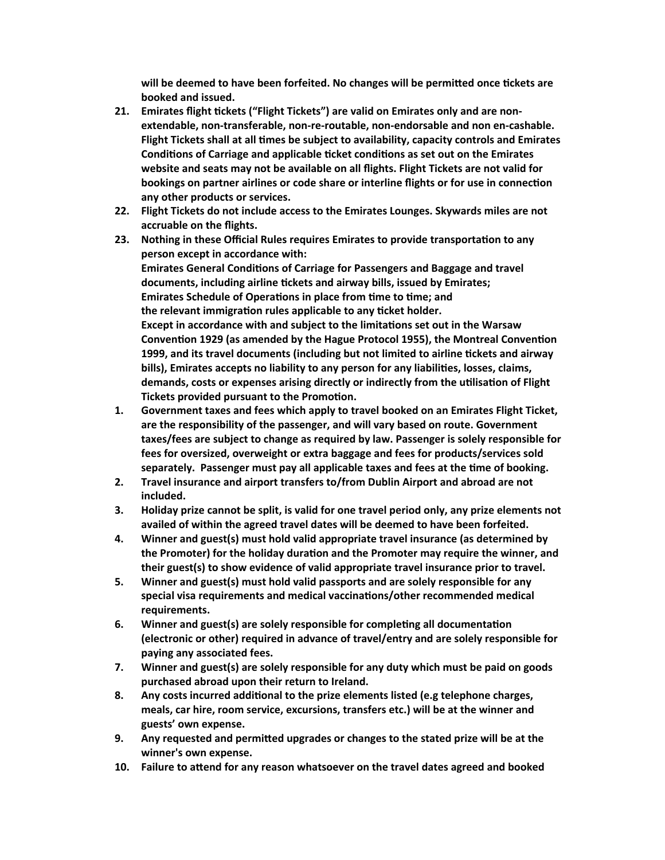will be deemed to have been forfeited. No changes will be permitted once tickets are **booked and issued.**

- **21. Emirates flight \ckets ("Flight Tickets") are valid on Emirates only and are nonextendable, non-transferable, non-re-routable, non-endorsable and non en-cashable. Flight Tickets shall at all \mes be subject to availability, capacity controls and Emirates Conditions of Carriage and applicable ticket conditions as set out on the Emirates website and seats may not be available on all flights. Flight Tickets are not valid for bookings on partner airlines or code share or interline flights or for use in connection any other products or services.**
- **22. Flight Tickets do not include access to the Emirates Lounges. Skywards miles are not accruable on the flights.**
- **23.** Nothing in these Official Rules requires Emirates to provide transportation to any **person except in accordance with: Emirates General Conditions of Carriage for Passengers and Baggage and travel documents, including airline \ckets and airway bills, issued by Emirates;** Emirates Schedule of Operations in place from time to time; and the relevant immigration rules applicable to any ticket holder. **Except in accordance with and subject to the limitations set out in the Warsaw** Convention 1929 (as amended by the Hague Protocol 1955), the Montreal Convention **1999, and its travel documents (including but not limited to airline \ckets and airway**  bills), Emirates accepts no liability to any person for any liabilities, losses, claims, demands, costs or expenses arising directly or indirectly from the utilisation of Flight **Tickets provided pursuant to the Promotion.**
- **1. Government taxes and fees which apply to travel booked on an Emirates Flight Ticket, are the responsibility of the passenger, and will vary based on route. Government taxes/fees are subject to change as required by law. Passenger is solely responsible for fees for oversized, overweight or extra baggage and fees for products/services sold**  separately. Passenger must pay all applicable taxes and fees at the time of booking.
- **2. Travel insurance and airport transfers to/from Dublin Airport and abroad are not included.**
- **3. Holiday prize cannot be split, is valid for one travel period only, any prize elements not availed of within the agreed travel dates will be deemed to have been forfeited.**
- **4. Winner and guest(s) must hold valid appropriate travel insurance (as determined by**  the Promoter) for the holiday duration and the Promoter may require the winner, and **their guest(s) to show evidence of valid appropriate travel insurance prior to travel.**
- **5. Winner and guest(s) must hold valid passports and are solely responsible for any**  special visa requirements and medical vaccinations/other recommended medical **requirements.**
- **6.** Winner and guest(s) are solely responsible for completing all documentation **(electronic or other) required in advance of travel/entry and are solely responsible for paying any associated fees.**
- **7. Winner and guest(s) are solely responsible for any duty which must be paid on goods purchased abroad upon their return to Ireland.**
- **8.** Any costs incurred additional to the prize elements listed (e.g telephone charges, **meals, car hire, room service, excursions, transfers etc.) will be at the winner and guests' own expense.**
- **9.** Any requested and permitted upgrades or changes to the stated prize will be at the **winner's own expense.**
- 10. Failure to attend for any reason whatsoever on the travel dates agreed and booked